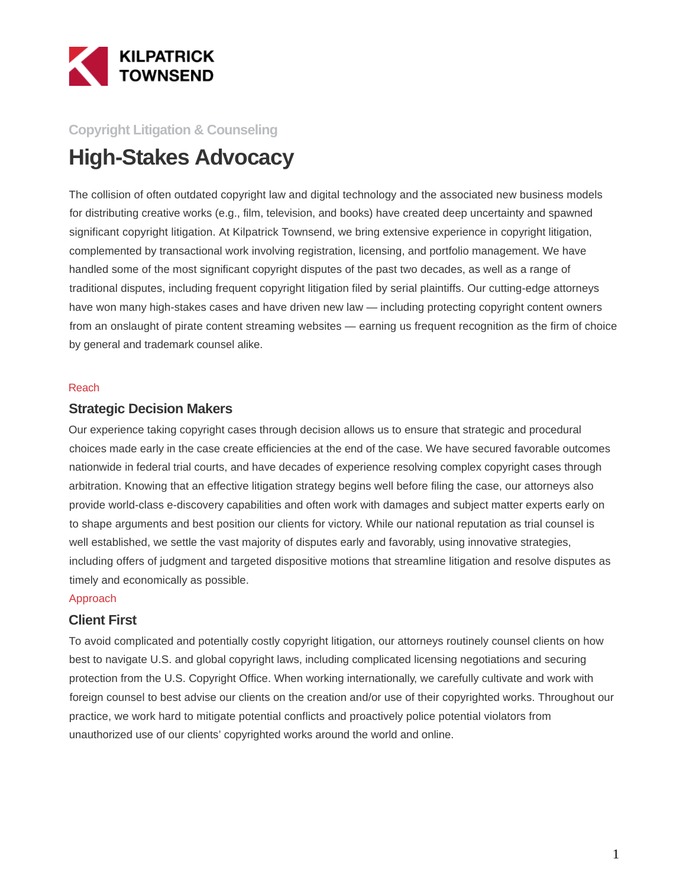

## **Copyright Litigation & Counseling**

# **High-Stakes Advocacy**

The collision of often outdated copyright law and digital technology and the associated new business models for distributing creative works (e.g., film, television, and books) have created deep uncertainty and spawned significant copyright litigation. At Kilpatrick Townsend, we bring extensive experience in copyright litigation, complemented by transactional work involving registration, licensing, and portfolio management. We have handled some of the most significant copyright disputes of the past two decades, as well as a range of traditional disputes, including frequent copyright litigation filed by serial plaintiffs. Our cutting-edge attorneys have won many high-stakes cases and have driven new law — including protecting copyright content owners from an onslaught of pirate content streaming websites — earning us frequent recognition as the firm of choice by general and trademark counsel alike.

#### Reach

#### **Strategic Decision Makers**

Our experience taking copyright cases through decision allows us to ensure that strategic and procedural choices made early in the case create efficiencies at the end of the case. We have secured favorable outcomes nationwide in federal trial courts, and have decades of experience resolving complex copyright cases through arbitration. Knowing that an effective litigation strategy begins well before filing the case, our attorneys also provide world-class e-discovery capabilities and often work with damages and subject matter experts early on to shape arguments and best position our clients for victory. While our national reputation as trial counsel is well established, we settle the vast majority of disputes early and favorably, using innovative strategies, including offers of judgment and targeted dispositive motions that streamline litigation and resolve disputes as timely and economically as possible.

#### Approach

#### **Client First**

To avoid complicated and potentially costly copyright litigation, our attorneys routinely counsel clients on how best to navigate U.S. and global copyright laws, including complicated licensing negotiations and securing protection from the U.S. Copyright Office. When working internationally, we carefully cultivate and work with foreign counsel to best advise our clients on the creation and/or use of their copyrighted works. Throughout our practice, we work hard to mitigate potential conflicts and proactively police potential violators from unauthorized use of our clients' copyrighted works around the world and online.